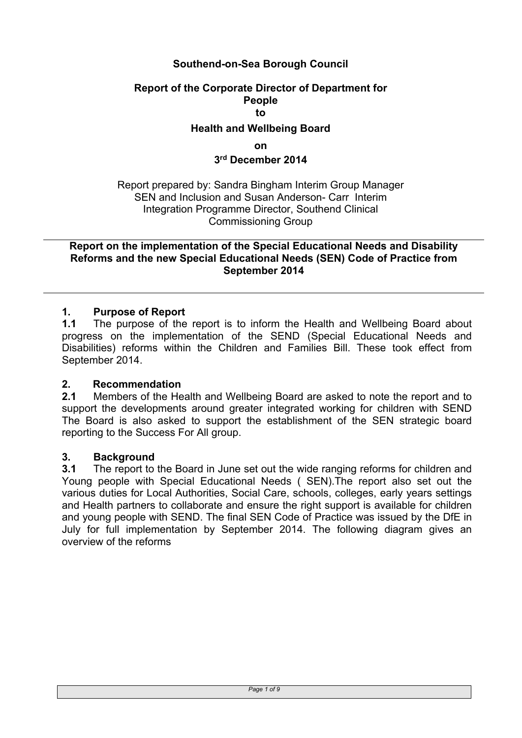# **Southend-on-Sea Borough Council**

# **Report of the Corporate Director of Department for People to Health and Wellbeing Board**

**on**

#### **3 rd December 2014**

Report prepared by: Sandra Bingham Interim Group Manager SEN and Inclusion and Susan Anderson- Carr Interim Integration Programme Director, Southend Clinical Commissioning Group

**Report on the implementation of the Special Educational Needs and Disability Reforms and the new Special Educational Needs (SEN) Code of Practice from September 2014**

#### **1. Purpose of Report**

**1.1** The purpose of the report is to inform the Health and Wellbeing Board about progress on the implementation of the SEND (Special Educational Needs and Disabilities) reforms within the Children and Families Bill. These took effect from September 2014.

#### **2. Recommendation**

**2.1** Members of the Health and Wellbeing Board are asked to note the report and to support the developments around greater integrated working for children with SEND The Board is also asked to support the establishment of the SEN strategic board reporting to the Success For All group.

#### **3. Background**

**3.1** The report to the Board in June set out the wide ranging reforms for children and Young people with Special Educational Needs ( SEN).The report also set out the various duties for Local Authorities, Social Care, schools, colleges, early years settings and Health partners to collaborate and ensure the right support is available for children and young people with SEND. The final SEN Code of Practice was issued by the DfE in July for full implementation by September 2014. The following diagram gives an overview of the reforms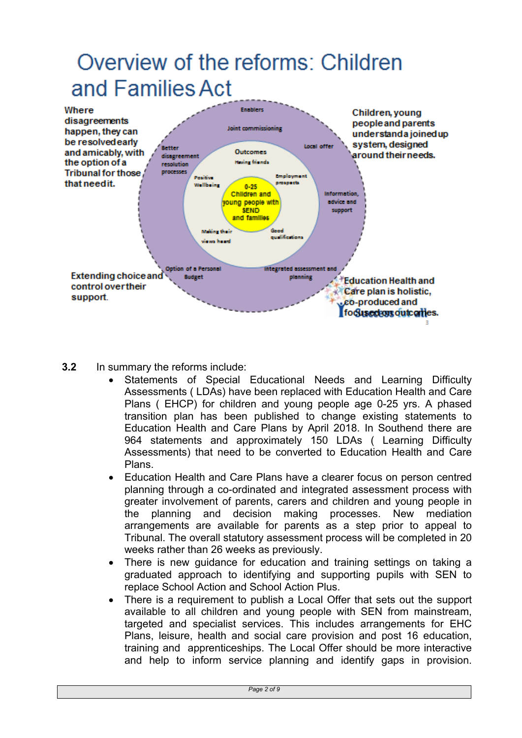# Overview of the reforms: Children and Families Act



- **3.2** In summary the reforms include:
	- Statements of Special Educational Needs and Learning Difficulty Assessments ( LDAs) have been replaced with Education Health and Care Plans ( EHCP) for children and young people age 0-25 yrs. A phased transition plan has been published to change existing statements to Education Health and Care Plans by April 2018. In Southend there are 964 statements and approximately 150 LDAs ( Learning Difficulty Assessments) that need to be converted to Education Health and Care Plans.
	- Education Health and Care Plans have a clearer focus on person centred planning through a co-ordinated and integrated assessment process with greater involvement of parents, carers and children and young people in the planning and decision making processes. New mediation arrangements are available for parents as a step prior to appeal to Tribunal. The overall statutory assessment process will be completed in 20 weeks rather than 26 weeks as previously.
	- There is new guidance for education and training settings on taking a graduated approach to identifying and supporting pupils with SEN to replace School Action and School Action Plus.
	- There is a requirement to publish a Local Offer that sets out the support available to all children and young people with SEN from mainstream, targeted and specialist services. This includes arrangements for EHC Plans, leisure, health and social care provision and post 16 education, training and apprenticeships. The Local Offer should be more interactive and help to inform service planning and identify gaps in provision.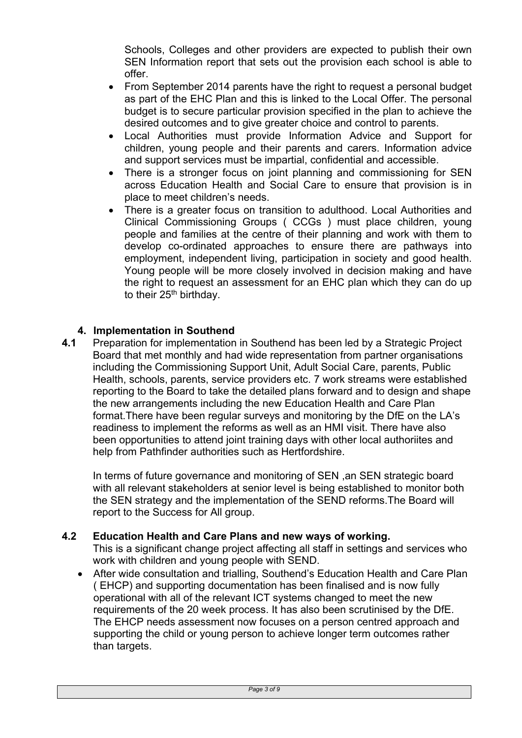Schools, Colleges and other providers are expected to publish their own SEN Information report that sets out the provision each school is able to offer.

- From September 2014 parents have the right to request a personal budget as part of the EHC Plan and this is linked to the Local Offer. The personal budget is to secure particular provision specified in the plan to achieve the desired outcomes and to give greater choice and control to parents.
- Local Authorities must provide Information Advice and Support for children, young people and their parents and carers. Information advice and support services must be impartial, confidential and accessible.
- There is a stronger focus on joint planning and commissioning for SEN across Education Health and Social Care to ensure that provision is in place to meet children's needs.
- There is a greater focus on transition to adulthood. Local Authorities and Clinical Commissioning Groups ( CCGs ) must place children, young people and families at the centre of their planning and work with them to develop co-ordinated approaches to ensure there are pathways into employment, independent living, participation in society and good health. Young people will be more closely involved in decision making and have the right to request an assessment for an EHC plan which they can do up to their 25<sup>th</sup> birthday.

# **4. Implementation in Southend**

**4.1** Preparation for implementation in Southend has been led by a Strategic Project Board that met monthly and had wide representation from partner organisations including the Commissioning Support Unit, Adult Social Care, parents, Public Health, schools, parents, service providers etc. 7 work streams were established reporting to the Board to take the detailed plans forward and to design and shape the new arrangements including the new Education Health and Care Plan format.There have been regular surveys and monitoring by the DfE on the LA's readiness to implement the reforms as well as an HMI visit. There have also been opportunities to attend joint training days with other local authoriites and help from Pathfinder authorities such as Hertfordshire.

In terms of future governance and monitoring of SEN ,an SEN strategic board with all relevant stakeholders at senior level is being established to monitor both the SEN strategy and the implementation of the SEND reforms.The Board will report to the Success for All group.

# **4.2 Education Health and Care Plans and new ways of working.**

This is a significant change project affecting all staff in settings and services who work with children and young people with SEND.

 After wide consultation and trialling, Southend's Education Health and Care Plan ( EHCP) and supporting documentation has been finalised and is now fully operational with all of the relevant ICT systems changed to meet the new requirements of the 20 week process. It has also been scrutinised by the DfE. The EHCP needs assessment now focuses on a person centred approach and supporting the child or young person to achieve longer term outcomes rather than targets.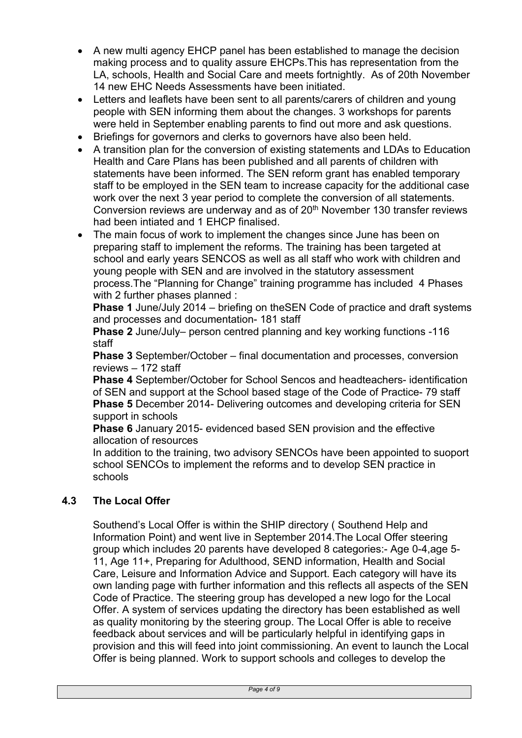- A new multi agency EHCP panel has been established to manage the decision making process and to quality assure EHCPs.This has representation from the LA, schools, Health and Social Care and meets fortnightly. As of 20th November 14 new EHC Needs Assessments have been initiated.
- Letters and leaflets have been sent to all parents/carers of children and young people with SEN informing them about the changes. 3 workshops for parents were held in September enabling parents to find out more and ask questions.
- Briefings for governors and clerks to governors have also been held.
- A transition plan for the conversion of existing statements and LDAs to Education Health and Care Plans has been published and all parents of children with statements have been informed. The SEN reform grant has enabled temporary staff to be employed in the SEN team to increase capacity for the additional case work over the next 3 year period to complete the conversion of all statements. Conversion reviews are underway and as of 20<sup>th</sup> November 130 transfer reviews had been intiated and 1 EHCP finalised.
- The main focus of work to implement the changes since June has been on preparing staff to implement the reforms. The training has been targeted at school and early years SENCOS as well as all staff who work with children and young people with SEN and are involved in the statutory assessment process.The "Planning for Change" training programme has included 4 Phases with 2 further phases planned :

**Phase 1** June/July 2014 – briefing on theSEN Code of practice and draft systems and processes and documentation- 181 staff

**Phase 2** June/July– person centred planning and key working functions -116 staff

**Phase 3** September/October – final documentation and processes, conversion reviews – 172 staff

**Phase 4** September/October for School Sencos and headteachers- identification of SEN and support at the School based stage of the Code of Practice- 79 staff **Phase 5** December 2014- Delivering outcomes and developing criteria for SEN support in schools

**Phase 6** January 2015- evidenced based SEN provision and the effective allocation of resources

In addition to the training, two advisory SENCOs have been appointed to suoport school SENCOs to implement the reforms and to develop SEN practice in schools

# **4.3 The Local Offer**

Southend's Local Offer is within the SHIP directory ( Southend Help and Information Point) and went live in September 2014.The Local Offer steering group which includes 20 parents have developed 8 categories:- Age 0-4,age 5- 11, Age 11+, Preparing for Adulthood, SEND information, Health and Social Care, Leisure and Information Advice and Support. Each category will have its own landing page with further information and this reflects all aspects of the SEN Code of Practice. The steering group has developed a new logo for the Local Offer. A system of services updating the directory has been established as well as quality monitoring by the steering group. The Local Offer is able to receive feedback about services and will be particularly helpful in identifying gaps in provision and this will feed into joint commissioning. An event to launch the Local Offer is being planned. Work to support schools and colleges to develop the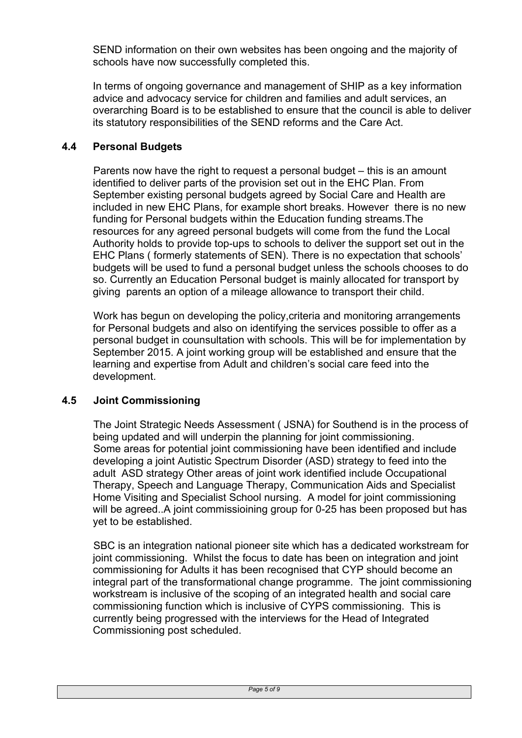SEND information on their own websites has been ongoing and the majority of schools have now successfully completed this.

In terms of ongoing governance and management of SHIP as a key information advice and advocacy service for children and families and adult services, an overarching Board is to be established to ensure that the council is able to deliver its statutory responsibilities of the SEND reforms and the Care Act.

# **4.4 Personal Budgets**

Parents now have the right to request a personal budget – this is an amount identified to deliver parts of the provision set out in the EHC Plan. From September existing personal budgets agreed by Social Care and Health are included in new EHC Plans, for example short breaks. However there is no new funding for Personal budgets within the Education funding streams.The resources for any agreed personal budgets will come from the fund the Local Authority holds to provide top-ups to schools to deliver the support set out in the EHC Plans ( formerly statements of SEN). There is no expectation that schools' budgets will be used to fund a personal budget unless the schools chooses to do so. Currently an Education Personal budget is mainly allocated for transport by giving parents an option of a mileage allowance to transport their child.

Work has begun on developing the policy,criteria and monitoring arrangements for Personal budgets and also on identifying the services possible to offer as a personal budget in counsultation with schools. This will be for implementation by September 2015. A joint working group will be established and ensure that the learning and expertise from Adult and children's social care feed into the development.

# **4.5 Joint Commissioning**

The Joint Strategic Needs Assessment ( JSNA) for Southend is in the process of being updated and will underpin the planning for joint commissioning. Some areas for potential joint commissioning have been identified and include developing a joint Autistic Spectrum Disorder (ASD) strategy to feed into the adult ASD strategy Other areas of joint work identified include Occupational Therapy, Speech and Language Therapy, Communication Aids and Specialist Home Visiting and Specialist School nursing. A model for joint commissioning will be agreed. A joint commissioining group for 0-25 has been proposed but has yet to be established.

SBC is an integration national pioneer site which has a dedicated workstream for joint commissioning. Whilst the focus to date has been on integration and joint commissioning for Adults it has been recognised that CYP should become an integral part of the transformational change programme. The joint commissioning workstream is inclusive of the scoping of an integrated health and social care commissioning function which is inclusive of CYPS commissioning. This is currently being progressed with the interviews for the Head of Integrated Commissioning post scheduled.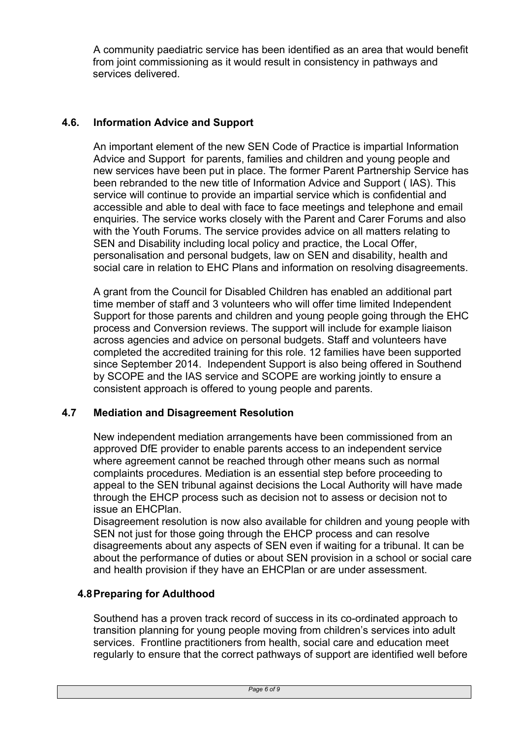A community paediatric service has been identified as an area that would benefit from joint commissioning as it would result in consistency in pathways and services delivered.

# **4.6. Information Advice and Support**

An important element of the new SEN Code of Practice is impartial Information Advice and Support for parents, families and children and young people and new services have been put in place. The former Parent Partnership Service has been rebranded to the new title of Information Advice and Support ( IAS). This service will continue to provide an impartial service which is confidential and accessible and able to deal with face to face meetings and telephone and email enquiries. The service works closely with the Parent and Carer Forums and also with the Youth Forums. The service provides advice on all matters relating to SEN and Disability including local policy and practice, the Local Offer, personalisation and personal budgets, law on SEN and disability, health and social care in relation to EHC Plans and information on resolving disagreements.

A grant from the Council for Disabled Children has enabled an additional part time member of staff and 3 volunteers who will offer time limited Independent Support for those parents and children and young people going through the EHC process and Conversion reviews. The support will include for example liaison across agencies and advice on personal budgets. Staff and volunteers have completed the accredited training for this role. 12 families have been supported since September 2014. Independent Support is also being offered in Southend by SCOPE and the IAS service and SCOPE are working jointly to ensure a consistent approach is offered to young people and parents.

# **4.7 Mediation and Disagreement Resolution**

New independent mediation arrangements have been commissioned from an approved DfE provider to enable parents access to an independent service where agreement cannot be reached through other means such as normal complaints procedures. Mediation is an essential step before proceeding to appeal to the SEN tribunal against decisions the Local Authority will have made through the EHCP process such as decision not to assess or decision not to issue an EHCPlan.

Disagreement resolution is now also available for children and young people with SEN not just for those going through the EHCP process and can resolve disagreements about any aspects of SEN even if waiting for a tribunal. It can be about the performance of duties or about SEN provision in a school or social care and health provision if they have an EHCPlan or are under assessment.

# **4.8Preparing for Adulthood**

Southend has a proven track record of success in its co-ordinated approach to transition planning for young people moving from children's services into adult services. Frontline practitioners from health, social care and education meet regularly to ensure that the correct pathways of support are identified well before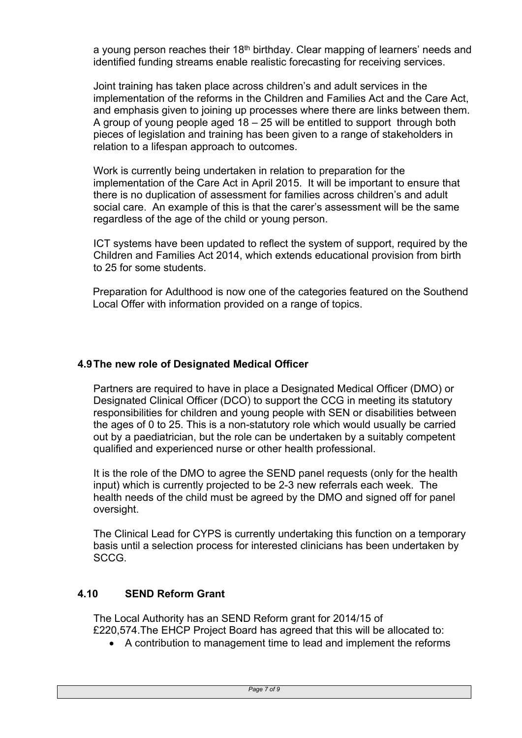a young person reaches their  $18<sup>th</sup>$  birthday. Clear mapping of learners' needs and identified funding streams enable realistic forecasting for receiving services.

Joint training has taken place across children's and adult services in the implementation of the reforms in the Children and Families Act and the Care Act, and emphasis given to joining up processes where there are links between them. A group of young people aged 18 – 25 will be entitled to support through both pieces of legislation and training has been given to a range of stakeholders in relation to a lifespan approach to outcomes.

Work is currently being undertaken in relation to preparation for the implementation of the Care Act in April 2015. It will be important to ensure that there is no duplication of assessment for families across children's and adult social care. An example of this is that the carer's assessment will be the same regardless of the age of the child or young person.

ICT systems have been updated to reflect the system of support, required by the Children and Families Act 2014, which extends educational provision from birth to 25 for some students.

Preparation for Adulthood is now one of the categories featured on the Southend Local Offer with information provided on a range of topics.

# **4.9The new role of Designated Medical Officer**

Partners are required to have in place a Designated Medical Officer (DMO) or Designated Clinical Officer (DCO) to support the CCG in meeting its statutory responsibilities for children and young people with SEN or disabilities between the ages of 0 to 25. This is a non-statutory role which would usually be carried out by a paediatrician, but the role can be undertaken by a suitably competent qualified and experienced nurse or other health professional.

It is the role of the DMO to agree the SEND panel requests (only for the health input) which is currently projected to be 2-3 new referrals each week. The health needs of the child must be agreed by the DMO and signed off for panel oversight.

The Clinical Lead for CYPS is currently undertaking this function on a temporary basis until a selection process for interested clinicians has been undertaken by SCCG.

# **4.10 SEND Reform Grant**

The Local Authority has an SEND Reform grant for 2014/15 of £220,574.The EHCP Project Board has agreed that this will be allocated to:

A contribution to management time to lead and implement the reforms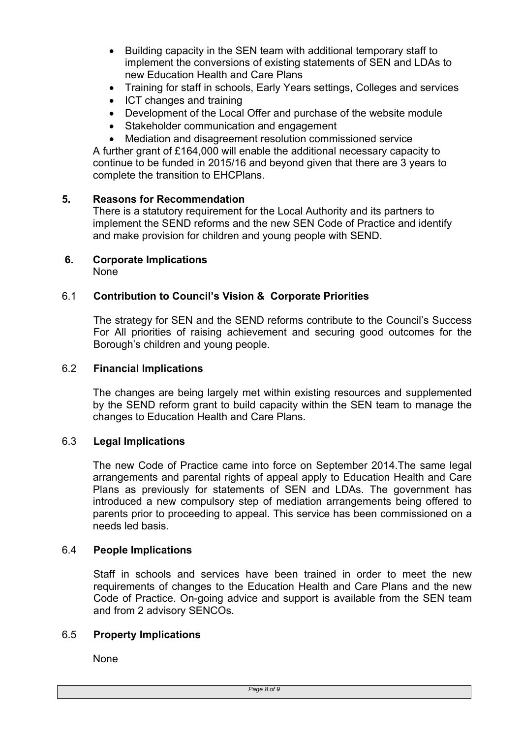- Building capacity in the SEN team with additional temporary staff to implement the conversions of existing statements of SEN and LDAs to new Education Health and Care Plans
- Training for staff in schools, Early Years settings, Colleges and services
- ICT changes and training
- Development of the Local Offer and purchase of the website module
- Stakeholder communication and engagement
- Mediation and disagreement resolution commissioned service

A further grant of £164,000 will enable the additional necessary capacity to continue to be funded in 2015/16 and beyond given that there are 3 years to complete the transition to EHCPlans.

#### **5. Reasons for Recommendation**

There is a statutory requirement for the Local Authority and its partners to implement the SEND reforms and the new SEN Code of Practice and identify and make provision for children and young people with SEND.

#### **6. Corporate Implications** None

#### 6.1 **Contribution to Council's Vision & Corporate Priorities**

The strategy for SEN and the SEND reforms contribute to the Council's Success For All priorities of raising achievement and securing good outcomes for the Borough's children and young people.

#### 6.2 **Financial Implications**

The changes are being largely met within existing resources and supplemented by the SEND reform grant to build capacity within the SEN team to manage the changes to Education Health and Care Plans.

#### 6.3 **Legal Implications**

The new Code of Practice came into force on September 2014.The same legal arrangements and parental rights of appeal apply to Education Health and Care Plans as previously for statements of SEN and LDAs. The government has introduced a new compulsory step of mediation arrangements being offered to parents prior to proceeding to appeal. This service has been commissioned on a needs led basis.

#### 6.4 **People Implications**

Staff in schools and services have been trained in order to meet the new requirements of changes to the Education Health and Care Plans and the new Code of Practice. On-going advice and support is available from the SEN team and from 2 advisory SENCOs.

#### 6.5 **Property Implications**

None